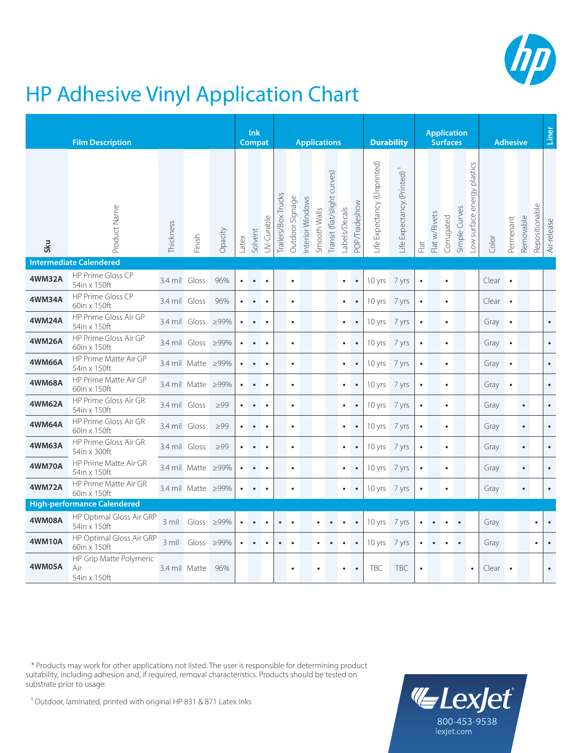

## HP Adhesive Vinyl Application Chart

|                                | <b>Film Description</b>                        |               |                    |           |       |           | <b>Ink</b><br>Compat |                     |                 | <b>Applications</b> |              |                              |               |                      |                                                   | <b>Durability</b>                                           |           |               |            | <b>Application</b><br><b>Surfaces</b> |                             | <b>Adhesive</b> |           |           |                | Liner       |
|--------------------------------|------------------------------------------------|---------------|--------------------|-----------|-------|-----------|----------------------|---------------------|-----------------|---------------------|--------------|------------------------------|---------------|----------------------|---------------------------------------------------|-------------------------------------------------------------|-----------|---------------|------------|---------------------------------------|-----------------------------|-----------------|-----------|-----------|----------------|-------------|
| Sku                            | Product Name                                   | Thickness     | Finish             | Opacity   | Latex | Solvent   | UV-Curable           | Trailers/Box Trucks | Outdoor Signage | Interior Windows    | Smooth Walls | Transit (flat/slight curves) | Labels/Decals | <b>POP/Tradeshow</b> | Expectancy (Unprinted)<br>$\overline{\mathbb{F}}$ | Expectancy (Printed)<br>$\mathop{\underrightarrow{\oplus}}$ | Flat      | Flat w/Rivets | Corrugated | Simple Curves                         | -ow surface energy plastics | Color           | Permenant | Removable | Repositionable | Air-release |
| <b>Intermediate Calendered</b> |                                                |               |                    |           |       |           |                      |                     |                 |                     |              |                              |               |                      |                                                   |                                                             |           |               |            |                                       |                             |                 |           |           |                |             |
| <b>4WM32A</b>                  | HP Prime Gloss CP<br>54in x 150ft              | 3.4 mil Gloss |                    | 96%       |       | $\bullet$ | $\bullet$            |                     | $\bullet$       |                     |              |                              | $\bullet$     | $\bullet$            | 10 yrs                                            | 7 yrs                                                       | $\bullet$ |               | $\bullet$  |                                       |                             | Clear .         |           |           |                |             |
| <b>4WM34A</b>                  | HP Prime Gloss CP<br>60in x 150ft              | 3.4 mil Gloss |                    | 96%       |       |           |                      |                     | $\bullet$       |                     |              |                              | $\bullet$     | $\bullet$            | 10 yrs                                            | 7 yrs                                                       | $\bullet$ |               | $\bullet$  |                                       |                             | $Clear \bullet$ |           |           |                |             |
| 4WM24A                         | HP Prime Gloss Air GP<br>54in x 150ft          | 3.4 mil Gloss |                    | ≥99%      |       |           | $\bullet$            |                     | $\bullet$       |                     |              |                              | $\bullet$     |                      | 10 yrs                                            | 7 yrs                                                       | $\bullet$ |               | $\bullet$  |                                       |                             | Gray $\bullet$  |           |           |                | $\bullet$   |
| <b>4WM26A</b>                  | HP Prime Gloss Air GP<br>60in x 150ft          | 3.4 mil Gloss |                    | ≥99%      |       | $\bullet$ | $\bullet$            |                     | $\bullet$       |                     |              |                              | $\bullet$     | $\bullet$            | 10 yrs                                            | 7 yrs                                                       | $\bullet$ |               | $\bullet$  |                                       |                             | Gray $\bullet$  |           |           |                | $\bullet$   |
| <b>4WM66A</b>                  | HP Prime Matte Air GP<br>54in x 150ft          |               | 3.4 mil Matte ≥99% |           |       |           |                      |                     | $\bullet$       |                     |              |                              | $\bullet$     | $\bullet$            | 10 yrs                                            | 7 yrs                                                       | $\bullet$ |               | $\bullet$  |                                       |                             | Gray            | $\bullet$ |           |                | $\bullet$   |
| <b>4WM68A</b>                  | HP Prime Matte Air GP<br>60in x 150ft          |               | 3.4 mil Matte ≥99% |           |       |           | $\bullet$            |                     | $\bullet$       |                     |              |                              | $\bullet$     |                      | 10 yrs 7 yrs                                      |                                                             | $\bullet$ |               | $\bullet$  |                                       |                             | Gray $\bullet$  |           |           |                | $\bullet$   |
| <b>4WM62A</b>                  | HP Prime Gloss Air GR<br>54in x 150ft          | 3.4 mil Gloss |                    | $\geq 99$ |       | $\bullet$ | $\bullet$            |                     | $\bullet$       |                     |              |                              | $\bullet$     |                      | 10 yrs                                            | 7 yrs                                                       | $\bullet$ |               | $\bullet$  |                                       |                             | Gray            |           | $\bullet$ |                | $\bullet$   |
| <b>4WM64A</b>                  | HP Prime Gloss Air GR<br>60in x 150ft          | 3.4 mil Gloss |                    | $\geq 99$ |       |           | $\bullet$            |                     | $\bullet$       |                     |              |                              | $\bullet$     | $\bullet$            | 10 yrs                                            | 7 yrs                                                       | $\bullet$ |               | $\bullet$  |                                       |                             | Gray            |           | $\bullet$ |                | $\bullet$   |
| 4WM63A                         | HP Prime Gloss Air GR<br>54in x 300ft          | 3.4 mil Gloss |                    | $\geq 99$ |       |           | $\bullet$            |                     | $\bullet$       |                     |              |                              |               |                      | 10 yrs 7 yrs                                      |                                                             | $\bullet$ |               | $\bullet$  |                                       |                             | Gray            |           | $\bullet$ |                | $\bullet$   |
| <b>4WM70A</b>                  | HP Prime Matte Air GR<br>54in x 150ft          |               | 3.4 mil Matte ≥99% |           |       |           |                      |                     | $\bullet$       |                     |              |                              | $\bullet$     |                      | 10 yrs                                            | 7 yrs                                                       | $\bullet$ |               | $\bullet$  |                                       |                             | Gray            |           | $\bullet$ |                | $\bullet$   |
| <b>4WM72A</b>                  | HP Prime Matte Air GR<br>60in x 150ft          |               | 3.4 mil Matte ≥99% |           |       | $\bullet$ | $\bullet$            |                     | $\bullet$       |                     |              |                              | $\bullet$     |                      | 10 yrs                                            | 7 yrs                                                       | $\bullet$ |               | $\bullet$  |                                       |                             | Gray            |           | $\bullet$ |                | $\bullet$   |
|                                | <b>High-performance Calendered</b>             |               |                    |           |       |           |                      |                     |                 |                     |              |                              |               |                      |                                                   |                                                             |           |               |            |                                       |                             |                 |           |           |                |             |
| <b>4WM08A</b>                  | HP Optimal Gloss Air GRP<br>54in x 150ft       | 3 mil         | Gloss $\geq$ 99%   |           |       | $\bullet$ | $\bullet$            | $\bullet$           | $\bullet$       |                     |              |                              |               | $\bullet$            | 10 yrs                                            | 7 yrs                                                       |           |               |            |                                       |                             | Gray            |           |           | $\bullet$      | $\bullet$   |
| 4WM10A                         | HP Optimal Gloss Air GRP<br>60in x 150ft       | 3 mil         | Gloss              | ≥99%      |       |           |                      |                     |                 |                     |              |                              |               |                      | 10 yrs                                            | 7 yrs                                                       |           |               |            |                                       |                             | Gray            |           |           |                |             |
| 4WM05A                         | HP Grip Matte Polymeric<br>Air<br>54in x 150ft | 3.4 mil Matte |                    | 96%       |       |           |                      |                     |                 |                     |              |                              |               |                      | <b>TBC</b>                                        | <b>TBC</b>                                                  | $\bullet$ |               |            |                                       | $\bullet$                   | Clear           | $\bullet$ |           |                | $\bullet$   |

 \* Products may work for other applications not listed. The user is responsible for determining product suitability, including adhesion and, if required, removal characteristics. Products should be tested on substrate prior to usage.



1 Outdoor, laminated, printed with original HP 831 & 871 Latex Inks